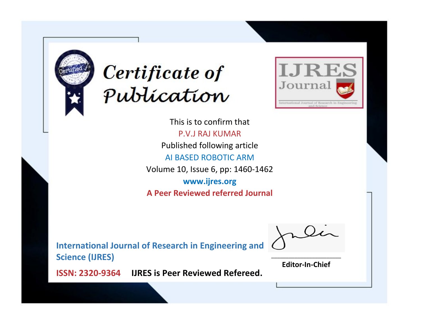



This is to confirm that P.V.J RAJ KUMAR Published following article AI BASED ROBOTIC ARM Volume 10, Issue 6, pp: 1460-1462 **www.ijres.org A Peer Reviewed referred Journal**

**International Journal of Research in Engineering and Science (IJRES)**

\_\_\_\_\_\_\_\_\_\_\_\_\_\_\_\_\_\_\_\_\_\_\_\_ **Editor-In-Chief**

**Journal.**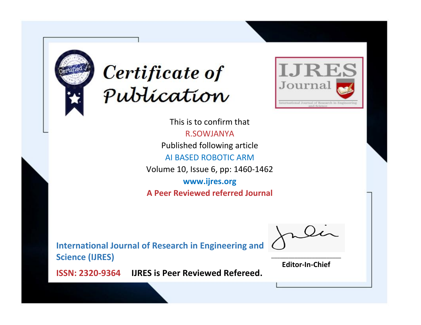



This is to confirm that R.SOWJANYA Published following article AI BASED ROBOTIC ARM Volume 10, Issue 6, pp: 1460-1462 **www.ijres.org A Peer Reviewed referred Journal**

**International Journal of Research in Engineering and Science (IJRES)**

\_\_\_\_\_\_\_\_\_\_\_\_\_\_\_\_\_\_\_\_\_\_\_\_ **Editor-In-Chief**

**Journal.**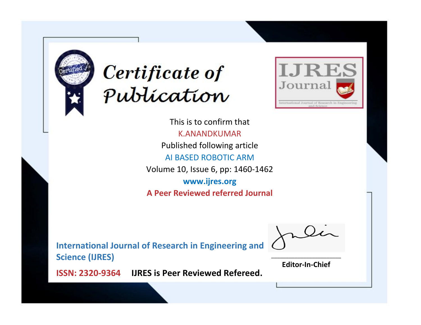



This is to confirm that K.ANANDKUMAR Published following article AI BASED ROBOTIC ARM Volume 10, Issue 6, pp: 1460-1462 **www.ijres.org A Peer Reviewed referred Journal**

**International Journal of Research in Engineering and Science (IJRES)**

\_\_\_\_\_\_\_\_\_\_\_\_\_\_\_\_\_\_\_\_\_\_\_\_ **Editor-In-Chief**

**Journal.**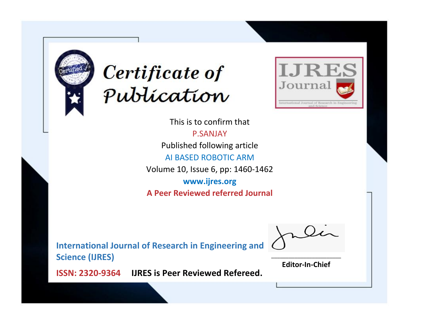



This is to confirm that P.SANJAY Published following article AI BASED ROBOTIC ARM Volume 10, Issue 6, pp: 1460-1462 **www.ijres.org A Peer Reviewed referred Journal**

**International Journal of Research in Engineering and Science (IJRES)**

\_\_\_\_\_\_\_\_\_\_\_\_\_\_\_\_\_\_\_\_\_\_\_\_ **Editor-In-Chief**

**Journal.**